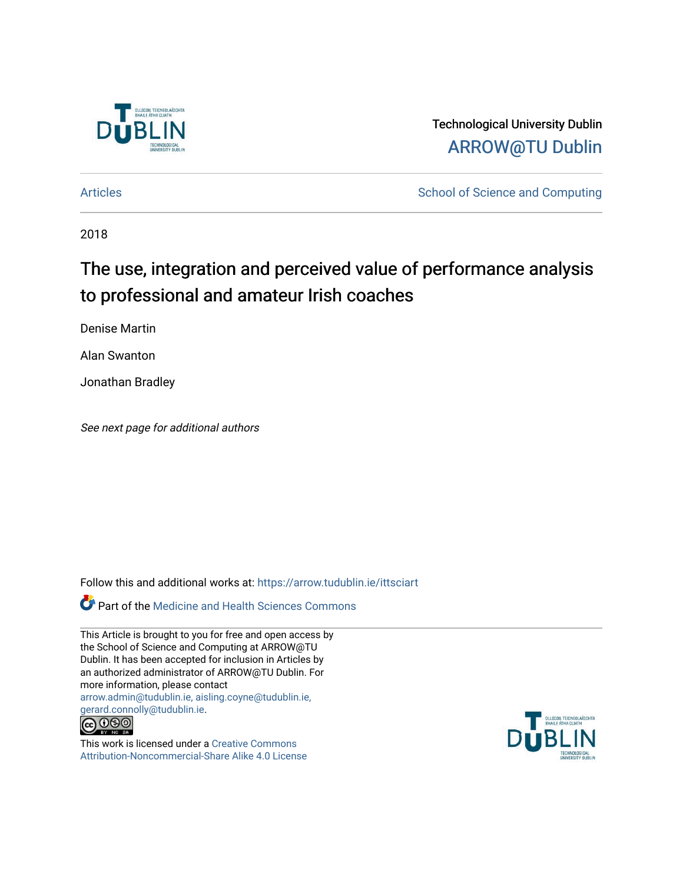

Technological University Dublin [ARROW@TU Dublin](https://arrow.tudublin.ie/) 

[Articles](https://arrow.tudublin.ie/ittsciart) **School of Science and Computing** 

2018

# The use, integration and perceived value of performance analysis to professional and amateur Irish coaches

Denise Martin

Alan Swanton

Jonathan Bradley

See next page for additional authors

Follow this and additional works at: [https://arrow.tudublin.ie/ittsciart](https://arrow.tudublin.ie/ittsciart?utm_source=arrow.tudublin.ie%2Fittsciart%2F112&utm_medium=PDF&utm_campaign=PDFCoverPages)

**Part of the Medicine and Health Sciences Commons** 

This Article is brought to you for free and open access by the School of Science and Computing at ARROW@TU Dublin. It has been accepted for inclusion in Articles by an authorized administrator of ARROW@TU Dublin. For more information, please contact [arrow.admin@tudublin.ie, aisling.coyne@tudublin.ie,](mailto:arrow.admin@tudublin.ie,%20aisling.coyne@tudublin.ie,%20gerard.connolly@tudublin.ie)  [gerard.connolly@tudublin.ie](mailto:arrow.admin@tudublin.ie,%20aisling.coyne@tudublin.ie,%20gerard.connolly@tudublin.ie).



This work is licensed under a [Creative Commons](http://creativecommons.org/licenses/by-nc-sa/4.0/) [Attribution-Noncommercial-Share Alike 4.0 License](http://creativecommons.org/licenses/by-nc-sa/4.0/)

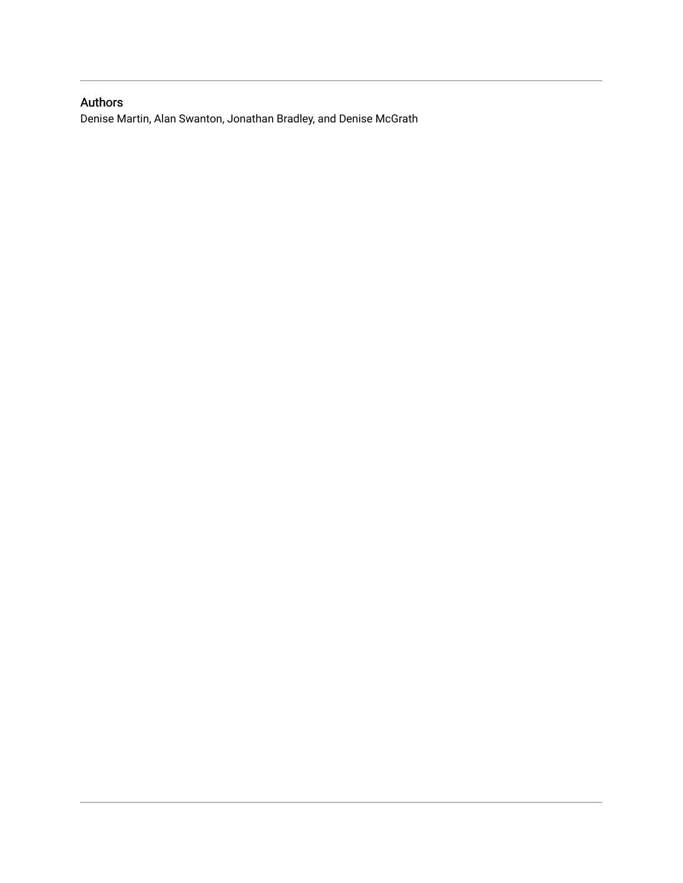### Authors

Denise Martin, Alan Swanton, Jonathan Bradley, and Denise McGrath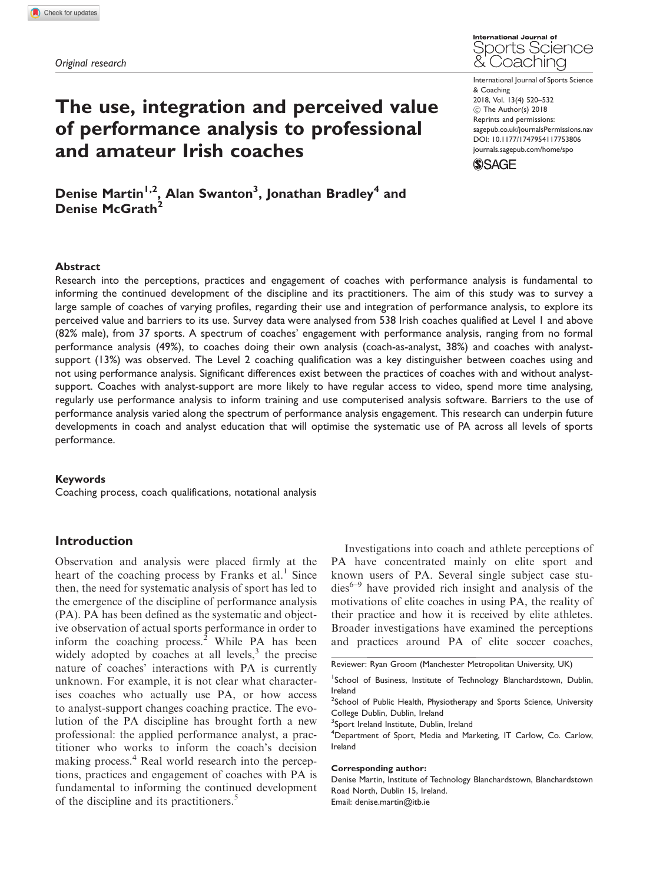#### International Journal of Sports Science & Coaching

## The use, integration and perceived value of performance analysis to professional and amateur Irish coaches

International Journal of Sports Science & Coaching 2018, Vol. 13(4) 520–532 ! The Author(s) 2018 Reprints and permissions: [sagepub.co.uk/journalsPermissions.nav](https://uk.sagepub.com/en-gb/journals-permissions) DOI: [10.1177/1747954117753806](https://doi.org/10.1177/1747954117753806) <journals.sagepub.com/home/spo>



Denise Martin<sup>1,2</sup>, Alan Swanton<sup>3</sup>, Jonathan Bradley<sup>4</sup> and Denise McGrath<sup>2</sup>

#### Abstract

Research into the perceptions, practices and engagement of coaches with performance analysis is fundamental to informing the continued development of the discipline and its practitioners. The aim of this study was to survey a large sample of coaches of varying profiles, regarding their use and integration of performance analysis, to explore its perceived value and barriers to its use. Survey data were analysed from 538 Irish coaches qualified at Level 1 and above (82% male), from 37 sports. A spectrum of coaches' engagement with performance analysis, ranging from no formal performance analysis (49%), to coaches doing their own analysis (coach-as-analyst, 38%) and coaches with analystsupport (13%) was observed. The Level 2 coaching qualification was a key distinguisher between coaches using and not using performance analysis. Significant differences exist between the practices of coaches with and without analystsupport. Coaches with analyst-support are more likely to have regular access to video, spend more time analysing, regularly use performance analysis to inform training and use computerised analysis software. Barriers to the use of performance analysis varied along the spectrum of performance analysis engagement. This research can underpin future developments in coach and analyst education that will optimise the systematic use of PA across all levels of sports performance.

#### Keywords

Coaching process, coach qualifications, notational analysis

#### Introduction

Observation and analysis were placed firmly at the heart of the coaching process by Franks et al.<sup>1</sup> Since then, the need for systematic analysis of sport has led to the emergence of the discipline of performance analysis (PA). PA has been defined as the systematic and objective observation of actual sports performance in order to inform the coaching process.<sup>2</sup> While PA has been widely adopted by coaches at all levels, $3$  the precise nature of coaches' interactions with PA is currently unknown. For example, it is not clear what characterises coaches who actually use PA, or how access to analyst-support changes coaching practice. The evolution of the PA discipline has brought forth a new professional: the applied performance analyst, a practitioner who works to inform the coach's decision making process.<sup>4</sup> Real world research into the perceptions, practices and engagement of coaches with PA is fundamental to informing the continued development of the discipline and its practitioners.<sup>5</sup>

Investigations into coach and athlete perceptions of PA have concentrated mainly on elite sport and known users of PA. Several single subject case stu $dies<sup>6-9</sup>$  have provided rich insight and analysis of the motivations of elite coaches in using PA, the reality of their practice and how it is received by elite athletes. Broader investigations have examined the perceptions and practices around PA of elite soccer coaches,

#### Corresponding author:

Denise Martin, Institute of Technology Blanchardstown, Blanchardstown Road North, Dublin 15, Ireland. Email: denise.martin@itb.ie

Reviewer: Ryan Groom (Manchester Metropolitan University, UK)

<sup>&</sup>lt;sup>1</sup>School of Business, Institute of Technology Blanchardstown, Dublin, Ireland

<sup>&</sup>lt;sup>2</sup>School of Public Health, Physiotherapy and Sports Science, University College Dublin, Dublin, Ireland

<sup>&</sup>lt;sup>3</sup>Sport Ireland Institute, Dublin, Ireland

<sup>&</sup>lt;sup>4</sup> Department of Sport, Media and Marketing, IT Carlow, Co. Carlow, Ireland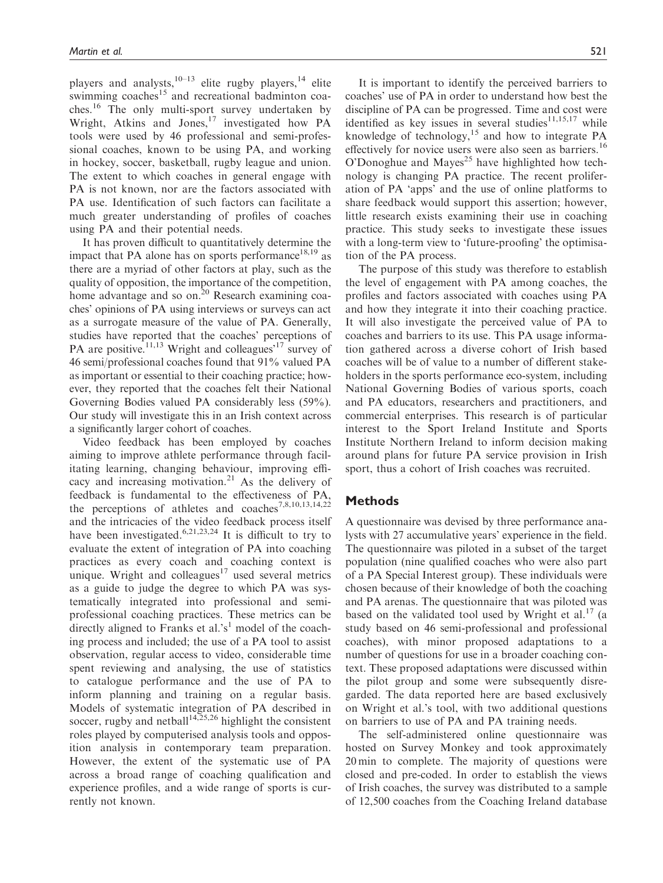players and analysts, <sup>10–13</sup> elite rugby players, <sup>14</sup> elite swimming coaches<sup>15</sup> and recreational badminton coaches.<sup>16</sup> The only multi-sport survey undertaken by Wright, Atkins and Jones,<sup>17</sup> investigated how PA tools were used by 46 professional and semi-professional coaches, known to be using PA, and working in hockey, soccer, basketball, rugby league and union. The extent to which coaches in general engage with PA is not known, nor are the factors associated with PA use. Identification of such factors can facilitate a much greater understanding of profiles of coaches using PA and their potential needs.

It has proven difficult to quantitatively determine the impact that PA alone has on sports performance<sup>18,19</sup> as there are a myriad of other factors at play, such as the quality of opposition, the importance of the competition, home advantage and so on. $^{20}$  Research examining coaches' opinions of PA using interviews or surveys can act as a surrogate measure of the value of PA. Generally, studies have reported that the coaches' perceptions of PA are positive.<sup>11,13</sup> Wright and colleagues<sup>'17</sup> survey of 46 semi/professional coaches found that 91% valued PA as important or essential to their coaching practice; however, they reported that the coaches felt their National Governing Bodies valued PA considerably less (59%). Our study will investigate this in an Irish context across a significantly larger cohort of coaches.

Video feedback has been employed by coaches aiming to improve athlete performance through facilitating learning, changing behaviour, improving efficacy and increasing motivation.<sup>21</sup> As the delivery of feedback is fundamental to the effectiveness of PA, the perceptions of athletes and coaches<sup>7,8,10,13,14,22</sup> and the intricacies of the video feedback process itself have been investigated.<sup>6,21,23,24</sup> It is difficult to try to evaluate the extent of integration of PA into coaching practices as every coach and coaching context is unique. Wright and colleagues $17$  used several metrics as a guide to judge the degree to which PA was systematically integrated into professional and semiprofessional coaching practices. These metrics can be directly aligned to Franks et al.'s<sup>1</sup> model of the coaching process and included; the use of a PA tool to assist observation, regular access to video, considerable time spent reviewing and analysing, the use of statistics to catalogue performance and the use of PA to inform planning and training on a regular basis. Models of systematic integration of PA described in soccer, rugby and netball<sup>14,25,26</sup> highlight the consistent roles played by computerised analysis tools and opposition analysis in contemporary team preparation. However, the extent of the systematic use of PA across a broad range of coaching qualification and experience profiles, and a wide range of sports is currently not known.

It is important to identify the perceived barriers to coaches' use of PA in order to understand how best the discipline of PA can be progressed. Time and cost were identified as key issues in several studies $11,15,17$  while knowledge of technology, $15$  and how to integrate PA effectively for novice users were also seen as barriers.<sup>16</sup> O'Donoghue and Mayes<sup>25</sup> have highlighted how technology is changing PA practice. The recent proliferation of PA 'apps' and the use of online platforms to share feedback would support this assertion; however, little research exists examining their use in coaching practice. This study seeks to investigate these issues with a long-term view to 'future-proofing' the optimisation of the PA process.

The purpose of this study was therefore to establish the level of engagement with PA among coaches, the profiles and factors associated with coaches using PA and how they integrate it into their coaching practice. It will also investigate the perceived value of PA to coaches and barriers to its use. This PA usage information gathered across a diverse cohort of Irish based coaches will be of value to a number of different stakeholders in the sports performance eco-system, including National Governing Bodies of various sports, coach and PA educators, researchers and practitioners, and commercial enterprises. This research is of particular interest to the Sport Ireland Institute and Sports Institute Northern Ireland to inform decision making around plans for future PA service provision in Irish sport, thus a cohort of Irish coaches was recruited.

#### Methods

A questionnaire was devised by three performance analysts with 27 accumulative years' experience in the field. The questionnaire was piloted in a subset of the target population (nine qualified coaches who were also part of a PA Special Interest group). These individuals were chosen because of their knowledge of both the coaching and PA arenas. The questionnaire that was piloted was based on the validated tool used by Wright et al.<sup>17</sup> (a study based on 46 semi-professional and professional coaches), with minor proposed adaptations to a number of questions for use in a broader coaching context. These proposed adaptations were discussed within the pilot group and some were subsequently disregarded. The data reported here are based exclusively on Wright et al.'s tool, with two additional questions on barriers to use of PA and PA training needs.

The self-administered online questionnaire was hosted on Survey Monkey and took approximately 20 min to complete. The majority of questions were closed and pre-coded. In order to establish the views of Irish coaches, the survey was distributed to a sample of 12,500 coaches from the Coaching Ireland database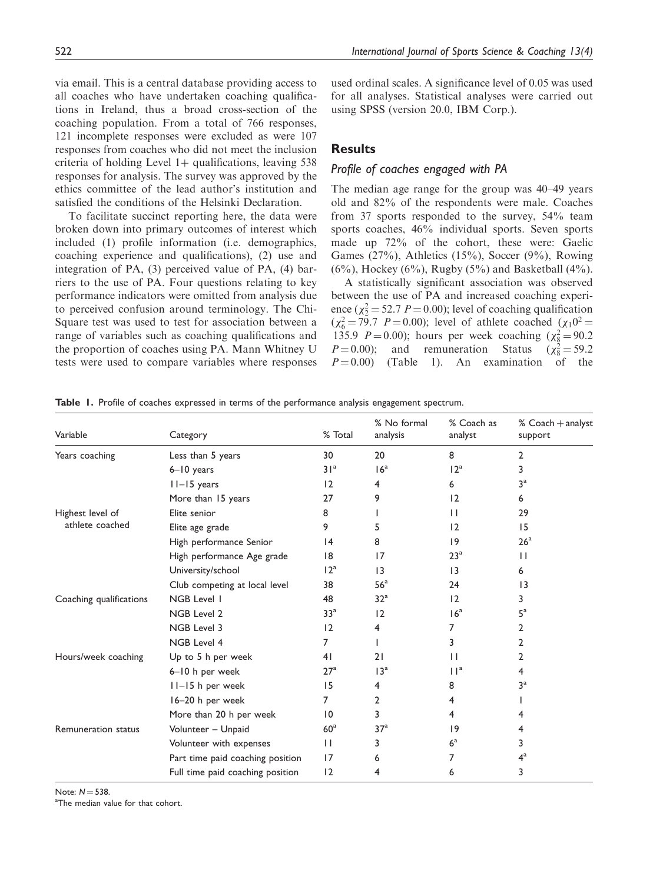via email. This is a central database providing access to all coaches who have undertaken coaching qualifications in Ireland, thus a broad cross-section of the coaching population. From a total of 766 responses, 121 incomplete responses were excluded as were 107 responses from coaches who did not meet the inclusion criteria of holding Level  $1+$  qualifications, leaving 538 responses for analysis. The survey was approved by the ethics committee of the lead author's institution and satisfied the conditions of the Helsinki Declaration.

To facilitate succinct reporting here, the data were broken down into primary outcomes of interest which included (1) profile information (i.e. demographics, coaching experience and qualifications), (2) use and integration of PA, (3) perceived value of PA, (4) barriers to the use of PA. Four questions relating to key performance indicators were omitted from analysis due to perceived confusion around terminology. The Chi-Square test was used to test for association between a range of variables such as coaching qualifications and the proportion of coaches using PA. Mann Whitney U tests were used to compare variables where responses used ordinal scales. A significance level of 0.05 was used for all analyses. Statistical analyses were carried out using SPSS (version 20.0, IBM Corp.).

#### **Results**

#### Profile of coaches engaged with PA

The median age range for the group was 40–49 years old and 82% of the respondents were male. Coaches from 37 sports responded to the survey, 54% team sports coaches, 46% individual sports. Seven sports made up 72% of the cohort, these were: Gaelic Games (27%), Athletics (15%), Soccer (9%), Rowing  $(6\%)$ , Hockey  $(6\%)$ , Rugby  $(5\%)$  and Basketball  $(4\%)$ .

A statistically significant association was observed between the use of PA and increased coaching experience ( $\chi^2 = 52.7$  P = 0.00); level of coaching qualification  $(\chi_6^2 = 79.7 \ P = 0.00)$ ; level of athlete coached  $(\chi_1 0^2 =$ 135.9  $P = 0.00$ ); hours per week coaching  $(\chi_{\frac{8}{5}}^2 = 90.2$  $P = 0.00$ ); and remuneration Status  $x_8^2 = 59.2$  $P = 0.00$ ) (Table 1). An examination of the

| Variable                | Category                         | % Total         | % No formal<br>analysis | % Coach as<br>analyst | $%$ Coach $+$ analyst<br>support |
|-------------------------|----------------------------------|-----------------|-------------------------|-----------------------|----------------------------------|
| Years coaching          | Less than 5 years                | 30              | 20                      | 8                     | 2                                |
|                         | 6-10 years                       | 31 <sup>a</sup> | 16 <sup>a</sup>         | 12 <sup>a</sup>       | 3                                |
|                         | $11-15$ years                    | 12              | 4                       | 6                     | 3 <sup>a</sup>                   |
|                         | More than 15 years               | 27              | 9                       | 12                    | 6                                |
| Highest level of        | Elite senior                     | 8               |                         | $\mathbf{H}$          | 29                               |
| athlete coached         | Elite age grade                  | 9               | 5                       | 12                    | 15                               |
|                         | High performance Senior          | 4               | 8                       | $ 9\rangle$           | 26 <sup>a</sup>                  |
|                         | High performance Age grade       | 8               | 17                      | 23 <sup>a</sup>       | $\mathbf{H}$                     |
|                         | University/school                | $12^a$          | 13                      | 13                    | 6                                |
|                         | Club competing at local level    | 38              | 56 <sup>a</sup>         | 24                    | $\overline{13}$                  |
| Coaching qualifications | NGB Level 1                      | 48              | 32 <sup>a</sup>         | 12                    | 3.                               |
|                         | NGB Level 2                      | 33 <sup>a</sup> | 12                      | 16 <sup>a</sup>       | 5 <sup>a</sup>                   |
|                         | NGB Level 3                      | 12              | 4                       | 7                     | 2                                |
|                         | NGB Level 4                      | 7               |                         | 3                     | 2                                |
| Hours/week coaching     | Up to 5 h per week               | 41              | 21                      | $\perp$               | 2                                |
|                         | 6-10 h per week                  | 27 <sup>a</sup> | 13 <sup>a</sup>         | 11 <sup>a</sup>       | 4                                |
|                         | II-I5 h per week                 | 15              | 4                       | 8                     | 3 <sup>a</sup>                   |
|                         | 16-20 h per week                 | 7               | $\overline{2}$          | 4                     |                                  |
|                         | More than 20 h per week          | $\overline{10}$ | 3.                      | 4                     | 4                                |
| Remuneration status     | Volunteer - Unpaid               | 60 <sup>a</sup> | 37 <sup>a</sup>         | 9                     | 4                                |
|                         | Volunteer with expenses          | $\mathbf{H}$    | 3                       | 6 <sup>a</sup>        | 3.                               |
|                         | Part time paid coaching position | 17              | 6                       | 7                     | $4^a$                            |
|                         | Full time paid coaching position | 12              | 4                       | 6                     | 3                                |

Table 1. Profile of coaches expressed in terms of the performance analysis engagement spectrum.

Note:  $N = 538$ .

<sup>a</sup>The median value for that cohort.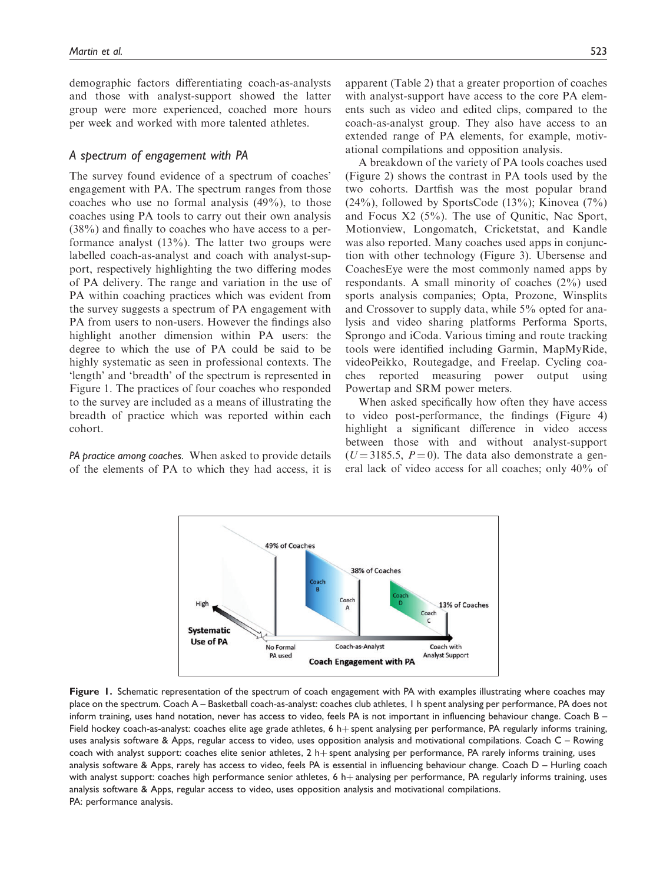demographic factors differentiating coach-as-analysts and those with analyst-support showed the latter group were more experienced, coached more hours per week and worked with more talented athletes.

#### A spectrum of engagement with PA

The survey found evidence of a spectrum of coaches' engagement with PA. The spectrum ranges from those coaches who use no formal analysis (49%), to those coaches using PA tools to carry out their own analysis (38%) and finally to coaches who have access to a performance analyst (13%). The latter two groups were labelled coach-as-analyst and coach with analyst-support, respectively highlighting the two differing modes of PA delivery. The range and variation in the use of PA within coaching practices which was evident from the survey suggests a spectrum of PA engagement with PA from users to non-users. However the findings also highlight another dimension within PA users: the degree to which the use of PA could be said to be highly systematic as seen in professional contexts. The 'length' and 'breadth' of the spectrum is represented in Figure 1. The practices of four coaches who responded to the survey are included as a means of illustrating the breadth of practice which was reported within each cohort.

PA practice among coaches. When asked to provide details of the elements of PA to which they had access, it is apparent (Table 2) that a greater proportion of coaches with analyst-support have access to the core PA elements such as video and edited clips, compared to the coach-as-analyst group. They also have access to an extended range of PA elements, for example, motivational compilations and opposition analysis.

A breakdown of the variety of PA tools coaches used (Figure 2) shows the contrast in PA tools used by the two cohorts. Dartfish was the most popular brand (24%), followed by SportsCode (13%); Kinovea (7%) and Focus X2 (5%). The use of Qunitic, Nac Sport, Motionview, Longomatch, Cricketstat, and Kandle was also reported. Many coaches used apps in conjunction with other technology (Figure 3). Ubersense and CoachesEye were the most commonly named apps by respondants. A small minority of coaches (2%) used sports analysis companies; Opta, Prozone, Winsplits and Crossover to supply data, while 5% opted for analysis and video sharing platforms Performa Sports, Sprongo and iCoda. Various timing and route tracking tools were identified including Garmin, MapMyRide, videoPeikko, Routegadge, and Freelap. Cycling coaches reported measuring power output using Powertap and SRM power meters.

When asked specifically how often they have access to video post-performance, the findings (Figure 4) highlight a significant difference in video access between those with and without analyst-support  $(U = 3185.5, P = 0)$ . The data also demonstrate a general lack of video access for all coaches; only 40% of



Figure 1. Schematic representation of the spectrum of coach engagement with PA with examples illustrating where coaches may place on the spectrum. Coach A – Basketball coach-as-analyst: coaches club athletes, 1 h spent analysing per performance, PA does not inform training, uses hand notation, never has access to video, feels PA is not important in influencing behaviour change. Coach B – Field hockey coach-as-analyst: coaches elite age grade athletes, 6 h $+$ spent analysing per performance, PA regularly informs training, uses analysis software & Apps, regular access to video, uses opposition analysis and motivational compilations. Coach C – Rowing coach with analyst support: coaches elite senior athletes,  $2 h+$  spent analysing per performance, PA rarely informs training, uses analysis software & Apps, rarely has access to video, feels PA is essential in influencing behaviour change. Coach D – Hurling coach with analyst support: coaches high performance senior athletes, 6 h+ analysing per performance, PA regularly informs training, uses analysis software & Apps, regular access to video, uses opposition analysis and motivational compilations. PA: performance analysis.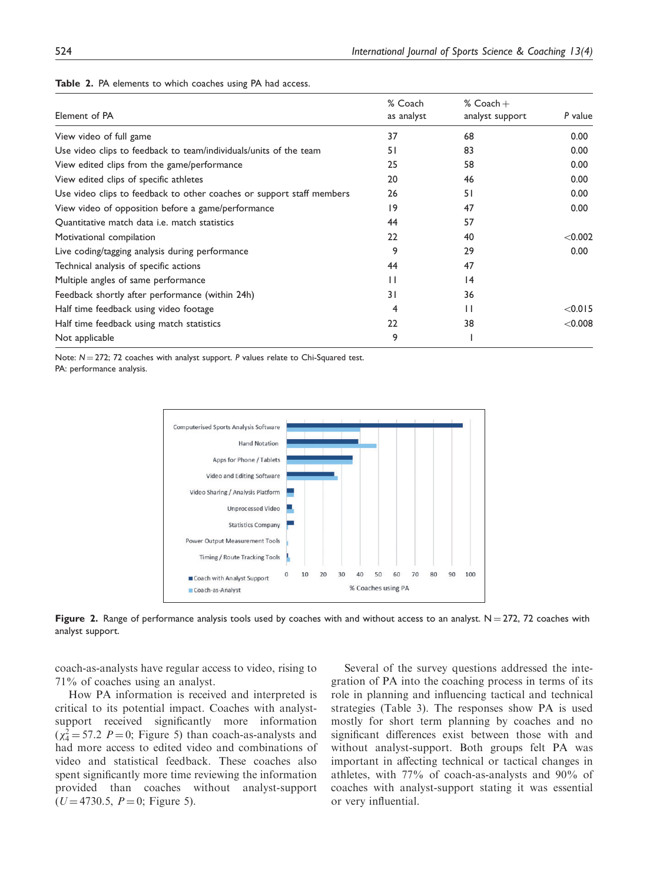| Element of PA                                                         | % Coach<br>as analyst | $%$ Coach +<br>analyst support | P value |
|-----------------------------------------------------------------------|-----------------------|--------------------------------|---------|
| View video of full game                                               | 37                    | 68                             | 0.00    |
| Use video clips to feedback to team/individuals/units of the team     | 51                    | 83                             | 0.00    |
| View edited clips from the game/performance                           | 25                    | 58                             | 0.00    |
| View edited clips of specific athletes                                | 20                    | 46                             | 0.00    |
| Use video clips to feedback to other coaches or support staff members | 26                    | 51                             | 0.00    |
| View video of opposition before a game/performance                    | 19                    | 47                             | 0.00    |
| Quantitative match data <i>i.e.</i> match statistics                  | 44                    | 57                             |         |
| Motivational compilation                                              | 22                    | 40                             | < 0.002 |
| Live coding/tagging analysis during performance                       | 9                     | 29                             | 0.00    |
| Technical analysis of specific actions                                | 44                    | 47                             |         |
| Multiple angles of same performance                                   | $\mathsf{L}$          | 4                              |         |
| Feedback shortly after performance (within 24h)                       | 31                    | 36                             |         |
| Half time feedback using video footage                                | 4                     | $\mathbf{H}$                   | < 0.015 |
| Half time feedback using match statistics                             | 22                    | 38                             | < 0.008 |
| Not applicable                                                        | 9                     |                                |         |

#### Table 2. PA elements to which coaches using PA had access.

Note:  $N = 272$ ; 72 coaches with analyst support. P values relate to Chi-Squared test. PA: performance analysis.



Figure 2. Range of performance analysis tools used by coaches with and without access to an analyst.  $N = 272$ , 72 coaches with analyst support.

coach-as-analysts have regular access to video, rising to 71% of coaches using an analyst.

How PA information is received and interpreted is critical to its potential impact. Coaches with analystsupport received significantly more information  $(\chi^2_4 = 57.2 \ P = 0; \text{ Figure 5}) \text{ than coach-as-analysis and}$ had more access to edited video and combinations of video and statistical feedback. These coaches also spent significantly more time reviewing the information provided than coaches without analyst-support  $(U = 4730.5, P = 0;$  Figure 5).

Several of the survey questions addressed the integration of PA into the coaching process in terms of its role in planning and influencing tactical and technical strategies (Table 3). The responses show PA is used mostly for short term planning by coaches and no significant differences exist between those with and without analyst-support. Both groups felt PA was important in affecting technical or tactical changes in athletes, with 77% of coach-as-analysts and 90% of coaches with analyst-support stating it was essential or very influential.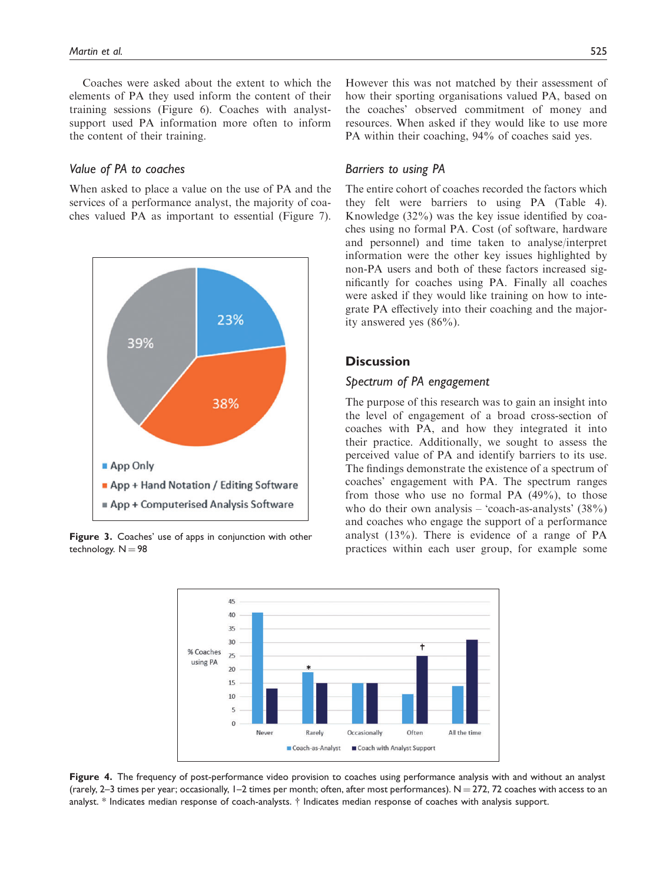Coaches were asked about the extent to which the elements of PA they used inform the content of their training sessions (Figure 6). Coaches with analystsupport used PA information more often to inform the content of their training.

#### Value of PA to coaches

When asked to place a value on the use of PA and the services of a performance analyst, the majority of coaches valued PA as important to essential (Figure 7).



Figure 3. Coaches' use of apps in conjunction with other technology.  $N = 98$ 

However this was not matched by their assessment of how their sporting organisations valued PA, based on the coaches' observed commitment of money and resources. When asked if they would like to use more PA within their coaching, 94% of coaches said yes.

#### Barriers to using PA

The entire cohort of coaches recorded the factors which they felt were barriers to using PA (Table 4). Knowledge (32%) was the key issue identified by coaches using no formal PA. Cost (of software, hardware and personnel) and time taken to analyse/interpret information were the other key issues highlighted by non-PA users and both of these factors increased significantly for coaches using PA. Finally all coaches were asked if they would like training on how to integrate PA effectively into their coaching and the majority answered yes (86%).

#### **Discussion**

#### Spectrum of PA engagement

The purpose of this research was to gain an insight into the level of engagement of a broad cross-section of coaches with PA, and how they integrated it into their practice. Additionally, we sought to assess the perceived value of PA and identify barriers to its use. The findings demonstrate the existence of a spectrum of coaches' engagement with PA. The spectrum ranges from those who use no formal PA (49%), to those who do their own analysis – 'coach-as-analysts'  $(38\%)$ and coaches who engage the support of a performance analyst (13%). There is evidence of a range of PA practices within each user group, for example some



Figure 4. The frequency of post-performance video provision to coaches using performance analysis with and without an analyst (rarely, 2–3 times per year; occasionally, 1–2 times per month; often, after most performances).  $N = 272$ , 72 coaches with access to an analyst. \* Indicates median response of coach-analysts. † Indicates median response of coaches with analysis support.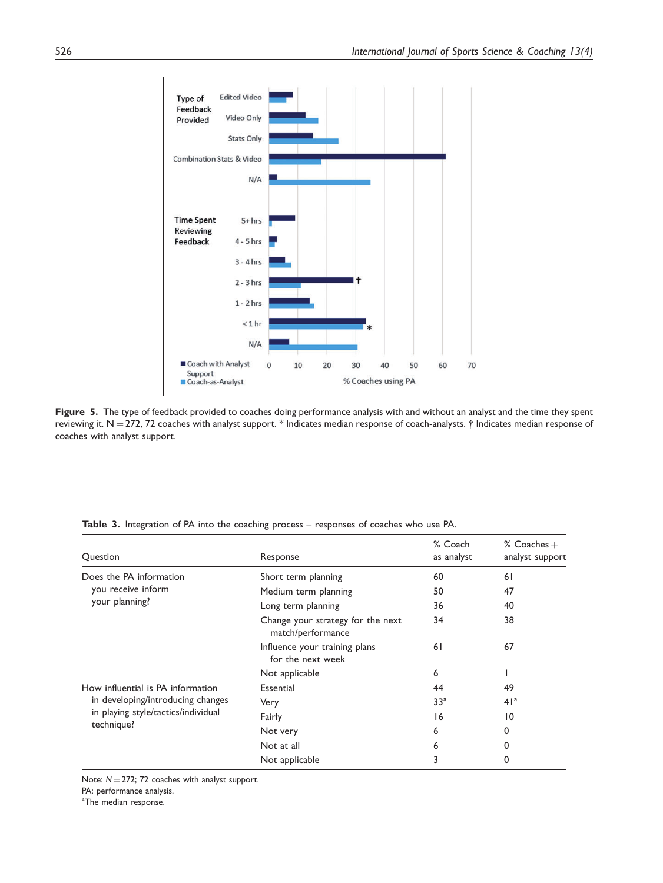

Figure 5. The type of feedback provided to coaches doing performance analysis with and without an analyst and the time they spent reviewing it.  $N = 272$ , 72 coaches with analyst support. \* Indicates median response of coach-analysts.  $\dagger$  Indicates median response of coaches with analyst support.

|  |  | Table 3. Integration of PA into the coaching process - responses of coaches who use PA. |  |  |  |  |  |  |  |  |  |  |  |
|--|--|-----------------------------------------------------------------------------------------|--|--|--|--|--|--|--|--|--|--|--|
|--|--|-----------------------------------------------------------------------------------------|--|--|--|--|--|--|--|--|--|--|--|

| Question                            | Response                                               | % Coach<br>as analyst | $%$ Coaches $+$<br>analyst support |
|-------------------------------------|--------------------------------------------------------|-----------------------|------------------------------------|
| Does the PA information             | Short term planning                                    | 60                    | 61                                 |
| you receive inform                  | Medium term planning                                   | 50                    | 47                                 |
| your planning?                      | Long term planning                                     | 36                    | 40                                 |
|                                     | Change your strategy for the next<br>match/performance | 34                    | 38                                 |
|                                     | Influence your training plans<br>for the next week     | 61                    | 67                                 |
|                                     | Not applicable                                         | 6                     |                                    |
| How influential is PA information   | Essential                                              | 44                    | 49                                 |
| in developing/introducing changes   | Very                                                   | 33 <sup>a</sup>       | 41 <sup>a</sup>                    |
| in playing style/tactics/individual | Fairly                                                 | 16                    | $\overline{10}$                    |
| technique?                          | Not very                                               | 6                     | 0                                  |
|                                     | Not at all                                             | 6                     | 0                                  |
|                                     | Not applicable                                         | 3                     | 0                                  |

Note:  $N = 272$ ; 72 coaches with analyst support.

PA: performance analysis.

<sup>a</sup>The median response.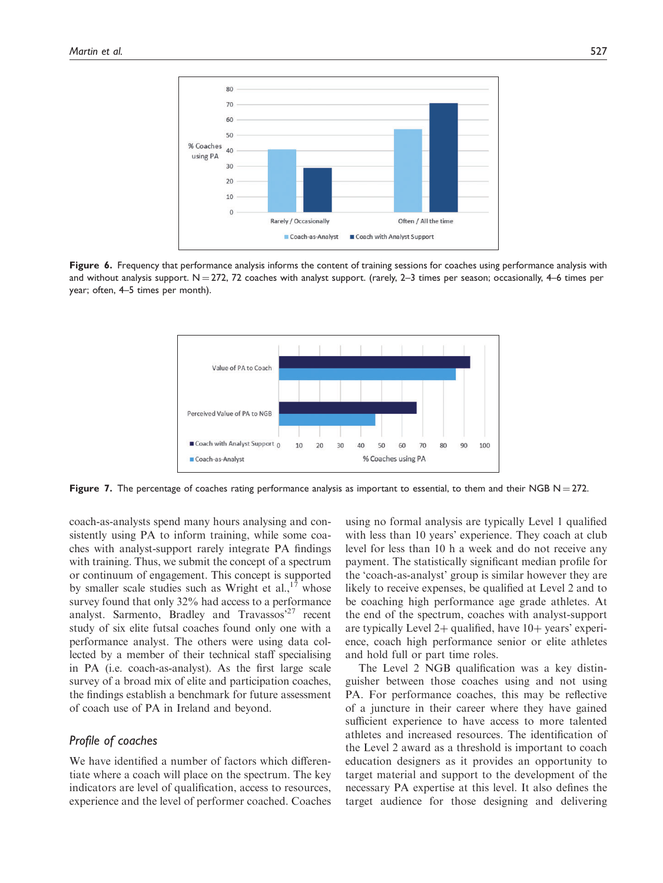

Figure 6. Frequency that performance analysis informs the content of training sessions for coaches using performance analysis with and without analysis support.  $N = 272$ , 72 coaches with analyst support. (rarely, 2–3 times per season; occasionally, 4–6 times per year; often, 4–5 times per month).



Figure 7. The percentage of coaches rating performance analysis as important to essential, to them and their NGB  $N = 272$ .

coach-as-analysts spend many hours analysing and consistently using PA to inform training, while some coaches with analyst-support rarely integrate PA findings with training. Thus, we submit the concept of a spectrum or continuum of engagement. This concept is supported by smaller scale studies such as Wright et al., $^{17}$  whose survey found that only 32% had access to a performance analyst. Sarmento, Bradley and Travassos $27$  recent study of six elite futsal coaches found only one with a performance analyst. The others were using data collected by a member of their technical staff specialising in PA (i.e. coach-as-analyst). As the first large scale survey of a broad mix of elite and participation coaches, the findings establish a benchmark for future assessment of coach use of PA in Ireland and beyond.

#### Profile of coaches

We have identified a number of factors which differentiate where a coach will place on the spectrum. The key indicators are level of qualification, access to resources, experience and the level of performer coached. Coaches using no formal analysis are typically Level 1 qualified with less than 10 years' experience. They coach at club level for less than 10 h a week and do not receive any payment. The statistically significant median profile for the 'coach-as-analyst' group is similar however they are likely to receive expenses, be qualified at Level 2 and to be coaching high performance age grade athletes. At the end of the spectrum, coaches with analyst-support are typically Level 2+ qualified, have  $10+$  years' experience, coach high performance senior or elite athletes and hold full or part time roles.

The Level 2 NGB qualification was a key distinguisher between those coaches using and not using PA. For performance coaches, this may be reflective of a juncture in their career where they have gained sufficient experience to have access to more talented athletes and increased resources. The identification of the Level 2 award as a threshold is important to coach education designers as it provides an opportunity to target material and support to the development of the necessary PA expertise at this level. It also defines the target audience for those designing and delivering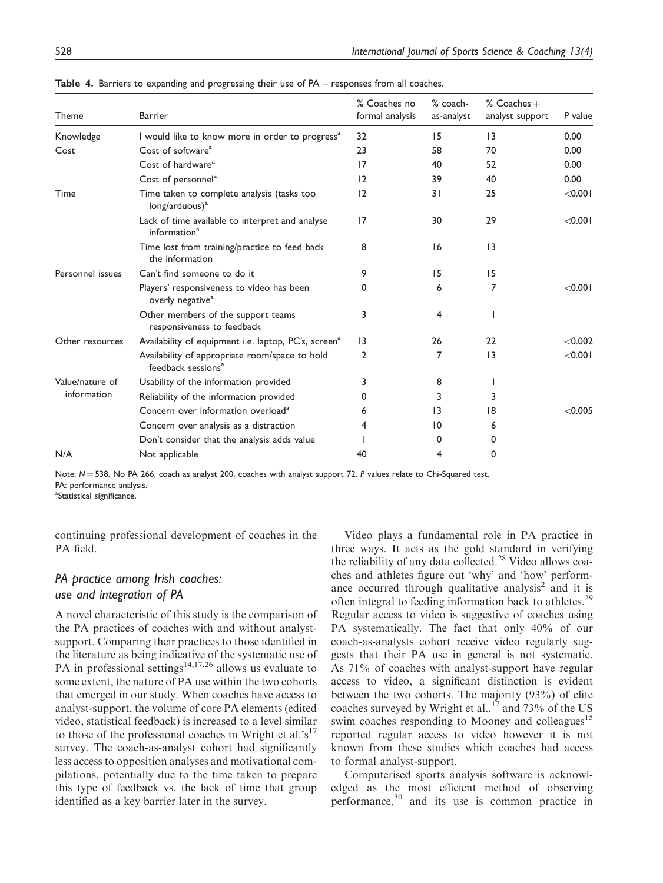| Theme            | <b>Barrier</b>                                                                   | % Coaches no<br>formal analysis | $%$ coach-<br>as-analyst | $%$ Coaches $+$<br>analyst support | P value |
|------------------|----------------------------------------------------------------------------------|---------------------------------|--------------------------|------------------------------------|---------|
| Knowledge        | I would like to know more in order to progress <sup>a</sup>                      | 32                              | 15                       | 13                                 | 0.00    |
| Cost             | Cost of software <sup>a</sup>                                                    | 23                              | 58                       | 70                                 | 0.00    |
|                  | Cost of hardware <sup>a</sup>                                                    | 17                              | 40                       | 52                                 | 0.00    |
|                  | Cost of personnel <sup>a</sup>                                                   | 12                              | 39                       | 40                                 | 0.00    |
| Time             | Time taken to complete analysis (tasks too<br>long/arduous) <sup>a</sup>         | 12                              | 31                       | 25                                 | < 0.001 |
|                  | Lack of time available to interpret and analyse<br>information <sup>a</sup>      | 17                              | 30                       | 29                                 | < 0.001 |
|                  | Time lost from training/practice to feed back<br>the information                 | 8                               | 16                       | 13                                 |         |
| Personnel issues | Can't find someone to do it                                                      | 9                               | 15                       | 15                                 |         |
|                  | Players' responsiveness to video has been<br>overly negative <sup>a</sup>        | 0                               | 6                        | 7                                  | < 0.001 |
|                  | Other members of the support teams<br>responsiveness to feedback                 | 3                               | 4                        |                                    |         |
| Other resources  | Availability of equipment i.e. laptop, PC's, screen <sup>a</sup>                 | 13                              | 26                       | 22                                 | < 0.002 |
|                  | Availability of appropriate room/space to hold<br>feedback sessions <sup>a</sup> | 2                               | 7                        | 13                                 | < 0.001 |
| Value/nature of  | Usability of the information provided                                            | 3                               | 8                        |                                    |         |
| information      | Reliability of the information provided                                          | 0                               | 3                        | 3                                  |         |
|                  | Concern over information overload <sup>a</sup>                                   | 6                               | $\overline{13}$          | 18                                 | < 0.005 |
|                  | Concern over analysis as a distraction                                           |                                 | 10                       | 6                                  |         |
|                  | Don't consider that the analysis adds value                                      |                                 | 0                        | 0                                  |         |
| N/A              | Not applicable                                                                   | 40                              | 4                        | 0                                  |         |

Table 4. Barriers to expanding and progressing their use of PA – responses from all coaches.

Note:  $N = 538$ . No PA 266, coach as analyst 200, coaches with analyst support 72. P values relate to Chi-Squared test. PA: performance analysis.

<sup>a</sup>Statistical significance.

continuing professional development of coaches in the PA field.

### PA practice among Irish coaches: use and integration of PA

A novel characteristic of this study is the comparison of the PA practices of coaches with and without analystsupport. Comparing their practices to those identified in the literature as being indicative of the systematic use of PA in professional settings<sup>14,17,26</sup> allows us evaluate to some extent, the nature of PA use within the two cohorts that emerged in our study. When coaches have access to analyst-support, the volume of core PA elements (edited video, statistical feedback) is increased to a level similar to those of the professional coaches in Wright et al.'s<sup>17</sup> survey. The coach-as-analyst cohort had significantly less access to opposition analyses and motivational compilations, potentially due to the time taken to prepare this type of feedback vs. the lack of time that group identified as a key barrier later in the survey.

Video plays a fundamental role in PA practice in three ways. It acts as the gold standard in verifying the reliability of any data collected.<sup>28</sup> Video allows coaches and athletes figure out 'why' and 'how' performance occurred through qualitative analysis<sup>2</sup> and it is often integral to feeding information back to athletes.<sup>29</sup> Regular access to video is suggestive of coaches using PA systematically. The fact that only 40% of our coach-as-analysts cohort receive video regularly suggests that their PA use in general is not systematic. As 71% of coaches with analyst-support have regular access to video, a significant distinction is evident between the two cohorts. The majority (93%) of elite coaches surveyed by Wright et al.,  $17$  and 73% of the US swim coaches responding to Mooney and colleagues<sup>15</sup> reported regular access to video however it is not known from these studies which coaches had access to formal analyst-support.

Computerised sports analysis software is acknowledged as the most efficient method of observing performance,<sup>30</sup> and its use is common practice in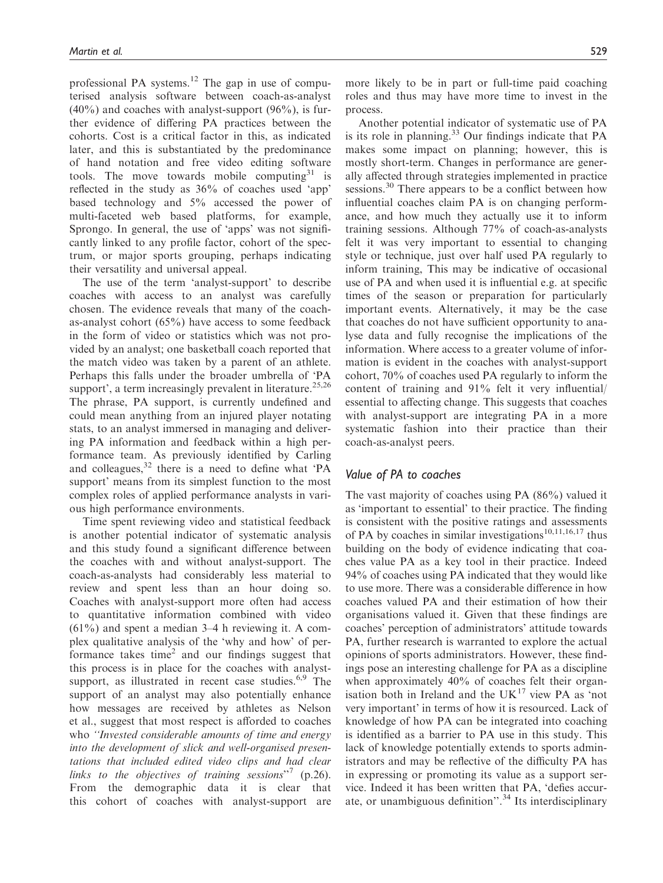professional PA systems.<sup>12</sup> The gap in use of computerised analysis software between coach-as-analyst  $(40\%)$  and coaches with analyst-support  $(96\%)$ , is further evidence of differing PA practices between the cohorts. Cost is a critical factor in this, as indicated later, and this is substantiated by the predominance of hand notation and free video editing software tools. The move towards mobile computing $31$  is reflected in the study as 36% of coaches used 'app' based technology and 5% accessed the power of multi-faceted web based platforms, for example, Sprongo. In general, the use of 'apps' was not significantly linked to any profile factor, cohort of the spectrum, or major sports grouping, perhaps indicating their versatility and universal appeal.

The use of the term 'analyst-support' to describe coaches with access to an analyst was carefully chosen. The evidence reveals that many of the coachas-analyst cohort (65%) have access to some feedback in the form of video or statistics which was not provided by an analyst; one basketball coach reported that the match video was taken by a parent of an athlete. Perhaps this falls under the broader umbrella of 'PA support', a term increasingly prevalent in literature.<sup>25,26</sup> The phrase, PA support, is currently undefined and could mean anything from an injured player notating stats, to an analyst immersed in managing and delivering PA information and feedback within a high performance team. As previously identified by Carling and colleagues, $32$  there is a need to define what 'PA support' means from its simplest function to the most complex roles of applied performance analysts in various high performance environments.

Time spent reviewing video and statistical feedback is another potential indicator of systematic analysis and this study found a significant difference between the coaches with and without analyst-support. The coach-as-analysts had considerably less material to review and spent less than an hour doing so. Coaches with analyst-support more often had access to quantitative information combined with video  $(61\%)$  and spent a median 3–4 h reviewing it. A complex qualitative analysis of the 'why and how' of performance takes time<sup>2</sup> and our findings suggest that this process is in place for the coaches with analystsupport, as illustrated in recent case studies.<sup>6,9</sup> The support of an analyst may also potentially enhance how messages are received by athletes as Nelson et al., suggest that most respect is afforded to coaches who ''Invested considerable amounts of time and energy into the development of slick and well-organised presentations that included edited video clips and had clear links to the objectives of training sessions"<sup>7</sup> (p.26). From the demographic data it is clear that this cohort of coaches with analyst-support are more likely to be in part or full-time paid coaching roles and thus may have more time to invest in the process.

Another potential indicator of systematic use of PA is its role in planning. $33$  Our findings indicate that PA makes some impact on planning; however, this is mostly short-term. Changes in performance are generally affected through strategies implemented in practice sessions.<sup>30</sup> There appears to be a conflict between how influential coaches claim PA is on changing performance, and how much they actually use it to inform training sessions. Although 77% of coach-as-analysts felt it was very important to essential to changing style or technique, just over half used PA regularly to inform training, This may be indicative of occasional use of PA and when used it is influential e.g. at specific times of the season or preparation for particularly important events. Alternatively, it may be the case that coaches do not have sufficient opportunity to analyse data and fully recognise the implications of the information. Where access to a greater volume of information is evident in the coaches with analyst-support cohort, 70% of coaches used PA regularly to inform the content of training and 91% felt it very influential/ essential to affecting change. This suggests that coaches with analyst-support are integrating PA in a more systematic fashion into their practice than their coach-as-analyst peers.

#### Value of PA to coaches

The vast majority of coaches using PA (86%) valued it as 'important to essential' to their practice. The finding is consistent with the positive ratings and assessments of PA by coaches in similar investigations<sup>10,11,16,17</sup> thus building on the body of evidence indicating that coaches value PA as a key tool in their practice. Indeed 94% of coaches using PA indicated that they would like to use more. There was a considerable difference in how coaches valued PA and their estimation of how their organisations valued it. Given that these findings are coaches' perception of administrators' attitude towards PA, further research is warranted to explore the actual opinions of sports administrators. However, these findings pose an interesting challenge for PA as a discipline when approximately 40% of coaches felt their organisation both in Ireland and the  $UK^{17}$  view PA as 'not very important' in terms of how it is resourced. Lack of knowledge of how PA can be integrated into coaching is identified as a barrier to PA use in this study. This lack of knowledge potentially extends to sports administrators and may be reflective of the difficulty PA has in expressing or promoting its value as a support service. Indeed it has been written that PA, 'defies accurate, or unambiguous definition''.<sup>34</sup> Its interdisciplinary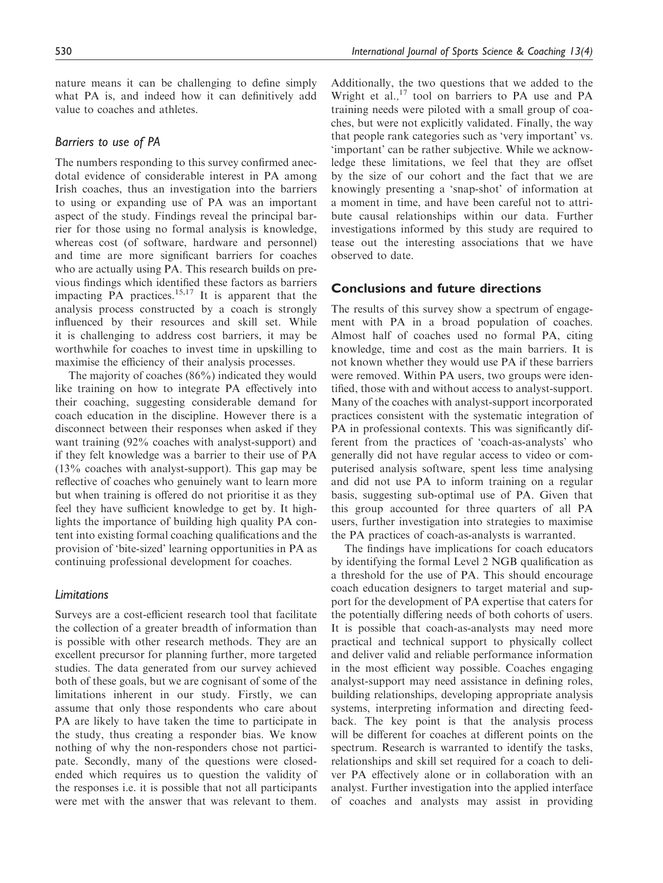#### Barriers to use of PA

value to coaches and athletes.

The numbers responding to this survey confirmed anecdotal evidence of considerable interest in PA among Irish coaches, thus an investigation into the barriers to using or expanding use of PA was an important aspect of the study. Findings reveal the principal barrier for those using no formal analysis is knowledge, whereas cost (of software, hardware and personnel) and time are more significant barriers for coaches who are actually using PA. This research builds on previous findings which identified these factors as barriers impacting  $\overline{PA}$  practices.<sup>15,17</sup> It is apparent that the analysis process constructed by a coach is strongly influenced by their resources and skill set. While it is challenging to address cost barriers, it may be worthwhile for coaches to invest time in upskilling to maximise the efficiency of their analysis processes.

The majority of coaches (86%) indicated they would like training on how to integrate PA effectively into their coaching, suggesting considerable demand for coach education in the discipline. However there is a disconnect between their responses when asked if they want training (92% coaches with analyst-support) and if they felt knowledge was a barrier to their use of PA (13% coaches with analyst-support). This gap may be reflective of coaches who genuinely want to learn more but when training is offered do not prioritise it as they feel they have sufficient knowledge to get by. It highlights the importance of building high quality PA content into existing formal coaching qualifications and the provision of 'bite-sized' learning opportunities in PA as continuing professional development for coaches.

#### Limitations

Surveys are a cost-efficient research tool that facilitate the collection of a greater breadth of information than is possible with other research methods. They are an excellent precursor for planning further, more targeted studies. The data generated from our survey achieved both of these goals, but we are cognisant of some of the limitations inherent in our study. Firstly, we can assume that only those respondents who care about PA are likely to have taken the time to participate in the study, thus creating a responder bias. We know nothing of why the non-responders chose not participate. Secondly, many of the questions were closedended which requires us to question the validity of the responses i.e. it is possible that not all participants were met with the answer that was relevant to them.

Additionally, the two questions that we added to the Wright et al., <sup>17</sup> tool on barriers to PA use and PA training needs were piloted with a small group of coaches, but were not explicitly validated. Finally, the way that people rank categories such as 'very important' vs. 'important' can be rather subjective. While we acknowledge these limitations, we feel that they are offset by the size of our cohort and the fact that we are knowingly presenting a 'snap-shot' of information at a moment in time, and have been careful not to attribute causal relationships within our data. Further investigations informed by this study are required to tease out the interesting associations that we have observed to date.

#### Conclusions and future directions

The results of this survey show a spectrum of engagement with PA in a broad population of coaches. Almost half of coaches used no formal PA, citing knowledge, time and cost as the main barriers. It is not known whether they would use PA if these barriers were removed. Within PA users, two groups were identified, those with and without access to analyst-support. Many of the coaches with analyst-support incorporated practices consistent with the systematic integration of PA in professional contexts. This was significantly different from the practices of 'coach-as-analysts' who generally did not have regular access to video or computerised analysis software, spent less time analysing and did not use PA to inform training on a regular basis, suggesting sub-optimal use of PA. Given that this group accounted for three quarters of all PA users, further investigation into strategies to maximise the PA practices of coach-as-analysts is warranted.

The findings have implications for coach educators by identifying the formal Level 2 NGB qualification as a threshold for the use of PA. This should encourage coach education designers to target material and support for the development of PA expertise that caters for the potentially differing needs of both cohorts of users. It is possible that coach-as-analysts may need more practical and technical support to physically collect and deliver valid and reliable performance information in the most efficient way possible. Coaches engaging analyst-support may need assistance in defining roles, building relationships, developing appropriate analysis systems, interpreting information and directing feedback. The key point is that the analysis process will be different for coaches at different points on the spectrum. Research is warranted to identify the tasks, relationships and skill set required for a coach to deliver PA effectively alone or in collaboration with an analyst. Further investigation into the applied interface of coaches and analysts may assist in providing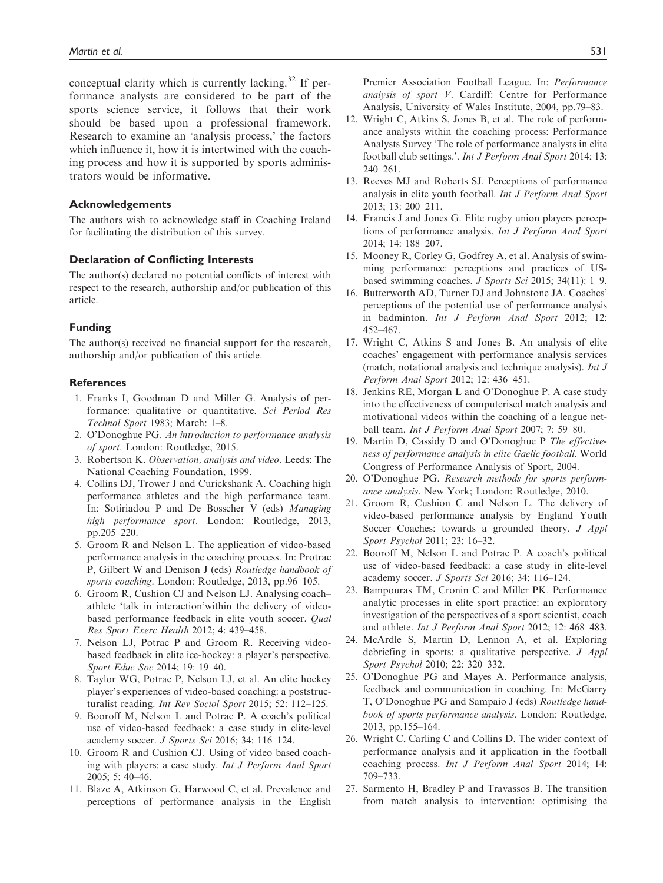conceptual clarity which is currently lacking.<sup>32</sup> If performance analysts are considered to be part of the sports science service, it follows that their work should be based upon a professional framework. Research to examine an 'analysis process,' the factors which influence it, how it is intertwined with the coaching process and how it is supported by sports administrators would be informative.

#### Acknowledgements

The authors wish to acknowledge staff in Coaching Ireland for facilitating the distribution of this survey.

#### Declaration of Conflicting Interests

The author(s) declared no potential conflicts of interest with respect to the research, authorship and/or publication of this article.

#### Funding

The author(s) received no financial support for the research, authorship and/or publication of this article.

#### **References**

- 1. Franks I, Goodman D and Miller G. Analysis of performance: qualitative or quantitative. Sci Period Res Technol Sport 1983; March: 1–8.
- 2. O'Donoghue PG. An introduction to performance analysis of sport. London: Routledge, 2015.
- 3. Robertson K. Observation, analysis and video. Leeds: The National Coaching Foundation, 1999.
- 4. Collins DJ, Trower J and Curickshank A. Coaching high performance athletes and the high performance team. In: Sotiriadou P and De Bosscher V (eds) Managing high performance sport. London: Routledge, 2013, pp.205–220.
- 5. Groom R and Nelson L. The application of video-based performance analysis in the coaching process. In: Protrac P, Gilbert W and Denison J (eds) Routledge handbook of sports coaching. London: Routledge, 2013, pp.96–105.
- 6. Groom R, Cushion CJ and Nelson LJ. Analysing coach– athlete 'talk in interaction'within the delivery of videobased performance feedback in elite youth soccer. Qual Res Sport Exerc Health 2012; 4: 439–458.
- 7. Nelson LJ, Potrac P and Groom R. Receiving videobased feedback in elite ice-hockey: a player's perspective. Sport Educ Soc 2014; 19: 19–40.
- 8. Taylor WG, Potrac P, Nelson LJ, et al. An elite hockey player's experiences of video-based coaching: a poststructuralist reading. Int Rev Sociol Sport 2015; 52: 112–125.
- 9. Booroff M, Nelson L and Potrac P. A coach's political use of video-based feedback: a case study in elite-level academy soccer. J Sports Sci 2016; 34: 116–124.
- 10. Groom R and Cushion CJ. Using of video based coaching with players: a case study. Int J Perform Anal Sport 2005; 5: 40–46.
- 11. Blaze A, Atkinson G, Harwood C, et al. Prevalence and perceptions of performance analysis in the English

Premier Association Football League. In: Performance analysis of sport V. Cardiff: Centre for Performance Analysis, University of Wales Institute, 2004, pp.79–83.

- 12. Wright C, Atkins S, Jones B, et al. The role of performance analysts within the coaching process: Performance Analysts Survey 'The role of performance analysts in elite football club settings.'. Int J Perform Anal Sport 2014; 13: 240–261.
- 13. Reeves MJ and Roberts SJ. Perceptions of performance analysis in elite youth football. Int J Perform Anal Sport 2013; 13: 200–211.
- 14. Francis J and Jones G. Elite rugby union players perceptions of performance analysis. Int J Perform Anal Sport 2014; 14: 188–207.
- 15. Mooney R, Corley G, Godfrey A, et al. Analysis of swimming performance: perceptions and practices of USbased swimming coaches. J Sports Sci 2015; 34(11): 1–9.
- 16. Butterworth AD, Turner DJ and Johnstone JA. Coaches' perceptions of the potential use of performance analysis in badminton. Int J Perform Anal Sport 2012; 12: 452–467.
- 17. Wright C, Atkins S and Jones B. An analysis of elite coaches' engagement with performance analysis services (match, notational analysis and technique analysis). Int J Perform Anal Sport 2012; 12: 436–451.
- 18. Jenkins RE, Morgan L and O'Donoghue P. A case study into the effectiveness of computerised match analysis and motivational videos within the coaching of a league netball team. Int J Perform Anal Sport 2007; 7: 59-80.
- 19. Martin D, Cassidy D and O'Donoghue P The effectiveness of performance analysis in elite Gaelic football. World Congress of Performance Analysis of Sport, 2004.
- 20. O'Donoghue PG. Research methods for sports performance analysis. New York; London: Routledge, 2010.
- 21. Groom R, Cushion C and Nelson L. The delivery of video-based performance analysis by England Youth Soccer Coaches: towards a grounded theory. J Appl Sport Psychol 2011; 23: 16–32.
- 22. Booroff M, Nelson L and Potrac P. A coach's political use of video-based feedback: a case study in elite-level academy soccer. J Sports Sci 2016; 34: 116–124.
- 23. Bampouras TM, Cronin C and Miller PK. Performance analytic processes in elite sport practice: an exploratory investigation of the perspectives of a sport scientist, coach and athlete. Int J Perform Anal Sport 2012; 12: 468–483.
- 24. McArdle S, Martin D, Lennon A, et al. Exploring debriefing in sports: a qualitative perspective. J Appl Sport Psychol 2010; 22: 320–332.
- 25. O'Donoghue PG and Mayes A. Performance analysis, feedback and communication in coaching. In: McGarry T, O'Donoghue PG and Sampaio J (eds) Routledge handbook of sports performance analysis. London: Routledge, 2013, pp.155–164.
- 26. Wright C, Carling C and Collins D. The wider context of performance analysis and it application in the football coaching process. Int J Perform Anal Sport 2014; 14: 709–733.
- 27. Sarmento H, Bradley P and Travassos B. The transition from match analysis to intervention: optimising the